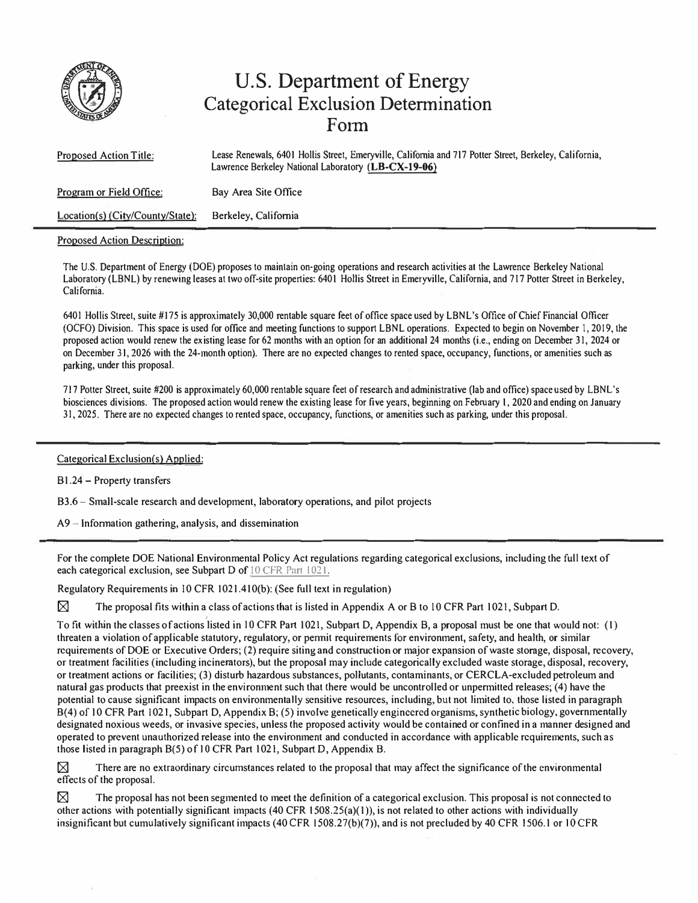

## **U.S. Department of Energy Categorical Exclusion Determination Form**

| <b>Proposed Action Title:</b>      | Lease Renewals, 6401 Hollis Street, Emeryville, California and 717 Potter Street, Berkeley, California,<br>Lawrence Berkeley National Laboratory (LB-CX-19-06) |
|------------------------------------|----------------------------------------------------------------------------------------------------------------------------------------------------------------|
| Program or Field Office:           | Bay Area Site Office                                                                                                                                           |
| $Location(s)$ (City/County/State): | Berkeley, California                                                                                                                                           |

## Proposed Action Description:

The U.S. Department of Energy (DOE) proposes to maintain on-going operations and research activities at the Lawrence Berkeley National Laboratory (LBNL) by renewing leases at two off-site properties: 6401 Hollis Street in Emeryville, California, and 717 Potter Street in Berkeley, California.

6401 Hollis Streel, suite #175 is approximately 30,000 rentable square feet of office space used by LBNL's Office of Chief Financial Officer (OCFO) Division. This space is used for office and meeting functions to support LBNL operations. Expected lo begin on November I, 2019, lhe proposed action would renew the ex isling lease for 62 months with an option for an additional 24 months (i.e., ending on December 31, 2024 or on December 31, 2026 with the 24-month option). There are no expected changes to rented space, occupancy, functions, or amenities such as parking, under this proposal.

717 Potter Street, suite #200 is approximately 60,000 rentable square feet of research and administrative (lab and office) space used by LBNL's biosciences divisions. The proposed action would renew the existing lease for five years, beginning on February 1, 2020 and ending on January 31, 2025. There are no expected changes lo rented space, occupancy, functions, or amenities such as parking, under this proposal.

## Categorical Exclusion(s) Applied:

B1.24 - Property transfers

83.6 � Small-scale research and development, laboratory operations, and pilot projects

 $A9$  – Information gathering, analysis, and dissemination

For the complete DOE National Environmental Policy Act regulations regarding categorical exclusions, including the full text of each categorical exclusion, see Subpart D of 10 CFR Part 1021.

Regulatory Requirements in 10 CFR 1021.410(b): (See full text in regulation)

 $\boxtimes$  The proposal fits within a class of actions that is listed in Appendix A or B to 10 CFR Part 1021, Subpart D.

To fit within the classes of actions 'listed in IO CFR Part 1021, Subpart *D,* Appendix B, a proposal must be one that would not: (I) threaten a violation of applicable statutory, regulatory, or pennit requirements for environment, safety, and health, or similar requirements of DOE or Executive Orders; (2) require siting and construction or major expansion of wasle storage, disposal, recovery, or treatment facilities (including incinerators), but the proposal may include categorically excluded waste storage, disposal, recovery, or treatment actions or facilities; (3) disturb hazardous substances, pollutants, contaminants, or CERCLA-excluded petroleum and natural gas products that preexist in the environment such that there would be uncontrolled or unpermitted releases; (4) have the potential to cause significant impacts on environmentally sensitive resources, including, but not limited to, those listed in paragraph 8(4) of 10 CFR Part I 021, Subpart D, Appendix B; (5) involve genetically engineered organisms, synthetic biology, governmentally designated noxious weeds, or invasive species, unless the proposed activity would be contained or confined in a manner designed and operated to prevent unauthorized release into the environment and conducted in accordance with applicable requirements, such as those listed in paragraph 8(5) of 10 CFR Part 1021, Subpart *D,* Appendix B.

 $\boxtimes$  There are no extraordinary circumstances related to the proposal that may affect the significance of the environmental effects of the proposal.

 $\boxtimes$  The proposal has not been segmented to meet the definition of a categorical exclusion. This proposal is not connected to other actions with potentially significant impacts  $(40 \text{ CFR } 1508.25(a)(1))$ , is not related to other actions with individually insignificant but cumulatively significant impacts (40 CFR 1508.27(b)(7)), and is not precluded by 40 CFR 1506.1 or IO CFR